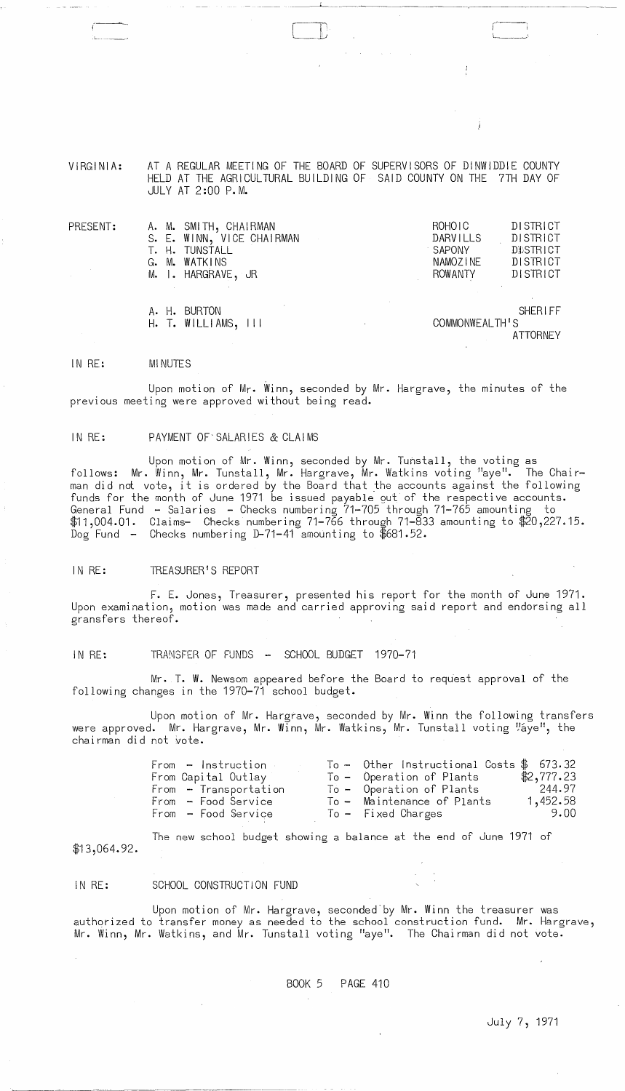VIRGINIA: AT A REGULAR MEETING OF THE BOARD OF SUPERVISORS OF DINWIDDIE COUNTY HELD AT THE AGRICULTURAL BUILDING OF SAID COUNTY ON THE 7TH DAY OF JULY AT 2:00 P.M.

 $\Box$ 

| PRESENT:<br>$\sim$ | A. M. SMITH, CHAIRMAN<br>S. E. WINN, VICE CHAIRMAN<br>T. H. TUNSTALL<br>G. M. WATKINS<br>M. I. HARGRAVE, JR | ROHO <sub>1</sub> C<br><b>DARVILLS</b><br>SAPONY<br>NAMOZINE<br>ROWANTY | <b>DISTRICT</b><br>DISTRICT<br>DISTRICT<br>DISTRICT<br>DISTRICT |
|--------------------|-------------------------------------------------------------------------------------------------------------|-------------------------------------------------------------------------|-----------------------------------------------------------------|
|                    | A. H. BURTON<br>$H.$ T. WILLIAMS, $III$                                                                     | <b>SHERIFF</b><br>COMMONWEALTH'S<br><b>ATTORNEY</b>                     |                                                                 |

#### IN RE: MI NUTES

Upon motion of Mr. Winn, seconded by Mr. Hargrave, the minutes of the previous meeting were approved without being read.

#### IN RE: PAYMENT OF'SALARIES & CLAIMS

Upon motion of Mr. Winn, seconded by Mr. Tunstall, the voting as follows: Mr. Winn, Mr. Tunstall, Mr. Hargrave, Mr. Watkins voting "aye". The Chairrecreased and intuity and conserved by the Board that the accounts against the following funds for the month of June 1971 be issued payable gut of the respective accounts. General Fund - Salaries - Checks numbering 71-705 through 71-765 amounting to \$11,004.01. Claims- Checks numbering 71-766 through 71-833 amounting to \$20,227.15. Dog Fund - Checks numbering D-71-41 amounting to \$681.52.

#### IN RE: TREASURER'S REPORT

F. E. Jones, Treasurer, presented his report for the month of June 1971. Upon examination, motion was made and carried approving said report and endorsing all gransfers thereof.

### IN RE: TRANSFER OF FUNDS - SCHOOL BUDGET 1970-71

Mr. T. W. Newsom appeared before the Board to request approval of the  $\,$ following changes in the 1970-71 school budget.

Upon motion of Mr. Hargrave, seconded by Mr. Winn the following transfers were approved. Mr. Hargrave, Mr. Winn, Mr. Watkins, Mr. Tunstall voting "áye", the chairman did not vote.

| From - Instruction -  | To - Other Instructional Costs $$673.32$ |            |
|-----------------------|------------------------------------------|------------|
| From Capital Outlay   | To - Operation of Plants                 | \$2,777.23 |
| From - Transportation | To - Operation of Plants                 | 244.97     |
| From - Food Service   | To - Maintenance of Plants               | 1,452.58   |
| From - Food Service   | To - Fixed Charges                       | 9.00       |
|                       |                                          |            |

The new school budget showing a balance at the end of June 1971 of  $$13,064.92$ .

#### IN RE: SCHOOL CONSTRUCTION FUND

 $\sim$   $\omega$ 

 $\sim$ 

Upon motion of Mr. Hargrave, seconded'by Mr. Winn the treasurer was authorized to transfer money as needed to the school construction fund. Mr. Hargrave, Mr. Winn, Mr. Watkins, and Mr. Tunstall voting "aye". The Chairman did not vote.

BOOK 5 PAGE 410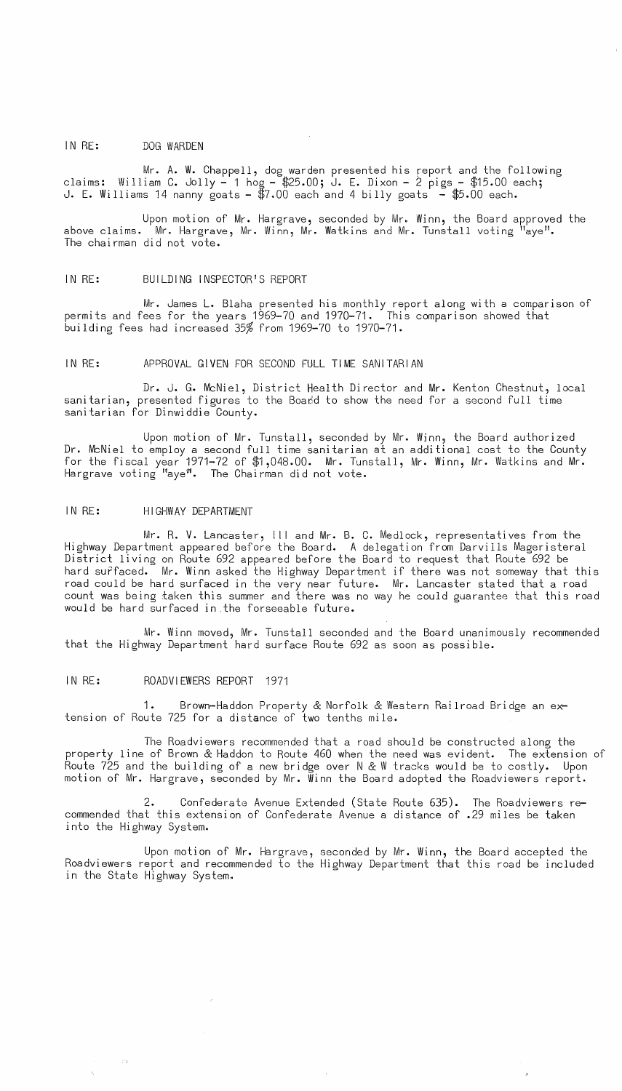## IN RE: DOG WARDEN

Mr. A. W. Chappell, dog warden presented his report and the following claims: William C. Jolly - 1 hog - \$25.00; J. E. Dixon - 2 pigs - \$15.00 each; J. E. Williams 14 nanny goats -  $$7.00$  each and 4 billy goats  $-$  \$5.00 each.

Upon motion of Mr. Hargrave, seconded by Mr. Winn, the Board approved the above claims. Mr. Hargrave, Mr. Winn, Mr. Watkins and Mr. Tunstall voting "aye". The chairman did not vote.

#### IN RE: BUILDING INSPECTOR'S REPORT

Mr. James L. Blaha presented his monthly report along with a comparison of permits and fees for the years 1969-70 and 1970-71. This comparison showed that building fees had increased 35% from 1969-70 to 1970-71.

### IN RE: APPROVAL GIVEN FOR SECOND FULL TIME SANITARIAN

Dr. J. G. McNiel, District Health Director and Mr. Kenton Chestnut, local sanitarian, presented figures to the Board to show the need for a second full time sanitarian for Dinwiddie County.

Upon motion of Mr. Tunstall, seconded by Mr. Winn, the Board authorized Dr. McNiel to employ a second full time sanitarian at an additional cost to the County for the fiscal year 1971-72 of \$1,048.00. Mr. Tunstall, Mr. Winn, Mr. Watkins and Mr. Hargrave voting "aye". The Chairman did not vote.

## IN RE: HIGHWAY DEPARTMENT

Mr. R. V. Lancaster, III and Mr. B. C. Medlock, representatives from the Highway Department appeared before the Board. A delegation from Darvills Mageristeral District living on Route 692 appeared before the Board to request that Route 692 be hard surfaced. Mr. Winn asked the Highway Department if there Was not someway that this road could be hard surfaced in the very near future. Mr. Lancaster stated that a road count was being taken this summer and there was no way he could guarantee that this road would be hard surfaced in the forseeable future.

Mr. Winn moved, Mr. Tunstall seconded and the Board unanimously recommended that the Highway Department hard surface Route 692 as soon as possible.

## IN RE: ROADVIEWERS REPORT 1971

1. Brown-Haddon Property & Norfolk & Western Railroad Bridge an extension of Route 725 for a distance of two tenths mile.

The Roadviewers recommended that a road should be constructed along the property line of Brown & Haddon to Route 460 when the need was evident. The extension of Route 725 and the building of a new bridge over N & W tracks would be to costly. Upon motion of Mr. Hargrave, seconded by Mr. Winn the Board adopted the Roadviewers report.

2. Confederate Avenue Extended (State Route 635). The Roadviewers recommended that this extension of Confederate Avenue a distance of .29 miles be taken into the Highway System.

Upon motion of Mr. Hargrave, seconded by Mr. Winn, the Board accepted the Roadviewers report and recommended to the Highway Department that this road be included in the State Highway System ..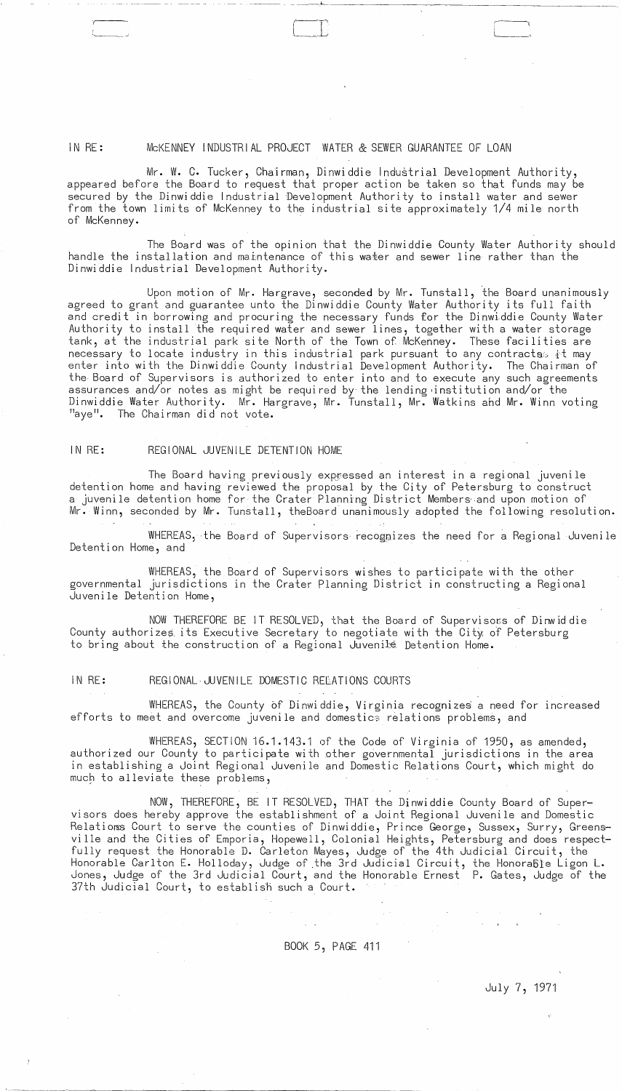#### IN RE: MCKENNEY INDUSTRIAL PROJECT WATER & SEWER GUARANTEE OF LOAN

Mr. W. C. Tucker, Chairman, Dinwiddie Industrial Development Authority, appeared before the Board to request that proper action be taken so that funds may be secured by the Dinwiddie Industrial Development Authority to install water and sewer from the town limits of McKenney to the industrial site approximately 1/4 mile north of McKenney.

The Board was of the opinion that the Dinwiddie County Water Authority should handle the installation and maintenance of this water and sewer line rather than the Dinwiddie Industrial Development Authority.

Upon motion of Mr. Hargrave, seconded by Mr. Tunstall, the Board unanimously agreed to grant and guarantee unto the Dinwiddie County Water Authority its full faith and credit in borrowing and procuring the necessary funds for the Dinwiddie County Water Authority to install the required water and sewer lines, together with a water storage tank, at the industrial park site North of the Town of McKenney. These facilities are necessary to locate industry in this industrial park pursuant to any contracts it may enter into with the Dinwiddie County Industrial Development Authority. The Chairman of the Board of Supervisors is authorized to enter into and to execute any such agreements assurances and/or notes as might be required by the lending institution and/or the Dinwiddie Water Authority. Mr. Hargrave, Mr. Tunstall, Mr. Watkins and Mr. Winn voting "aye". The Chairman did not vote.

#### $INRE:$ REGIONAL JUVENILE DETENTION HOME

The Board having previously expressed an interest in a regional juvenile detention home and having reviewed the proposal by the City of Petersburg to construct a juvenile detention home for the Crater Planning District Members and upon motion of Mr. Winn, seconded by Mr. Tunstall, the Board unanimously adopted the following resolution.

WHEREAS, the Board of Supervisors recognizes the need for a Regional Juvenile Detention Home, and

WHEREAS, the Board of Supervisors wishes to participate with the other governmental jurisdictions in the Crater Planning District in constructing a Regional Juvenile Detention Home,

NOW THEREFORE BE IT RESOLVED, that the Board of Supervisors of Dinwid die County authorizes its Executive Secretary to negotiate with the City of Petersburg to bring about the construction of a Regional Juvenile Detention Home.

#### IN RE: REGIONAL JUVENILE DOMESTIC RELATIONS COURTS

WHEREAS, the County of Dinwiddie, Virginia recognizes a need for increased efforts to meet and overcome juvenile and domestics relations problems, and

WHEREAS, SECTION 16.1.143.1 of the Code of Virginia of 1950, as amended, authorized our County to participate with other governmental jurisdictions in the area in establishing a Joint Regional Juvenile and Domestic Relations Court, which might do much to alleviate these problems,

NOW, THEREFORE, BE IT RESOLVED, THAT the Dinwiddie County Board of Supervisors does hereby approve the establishment of a Joint Regional Juvenile and Domestic Relatioms Court to serve the counties of Dinwiddie, Prince George, Sussex, Surry, Greens ville and the Cities of Emporia, Hopewell, Colonial Heights, Petersburg and does respectfully request the Honorable D. Carleton Mayes, Judge of the 4th Judicial Circuit, the Honorable Carlton E. Holloday, Judge of the 3rd Judicial Circuit, the Honoraßie Ligon L.<br>Jones, Judge of the 3rd Judicial Court, and the Honorable Ernest P. Gates, Judge of the 37th Judicial Court, to establish such a Court.

BOOK 5, PAGE 411

July 7, 1971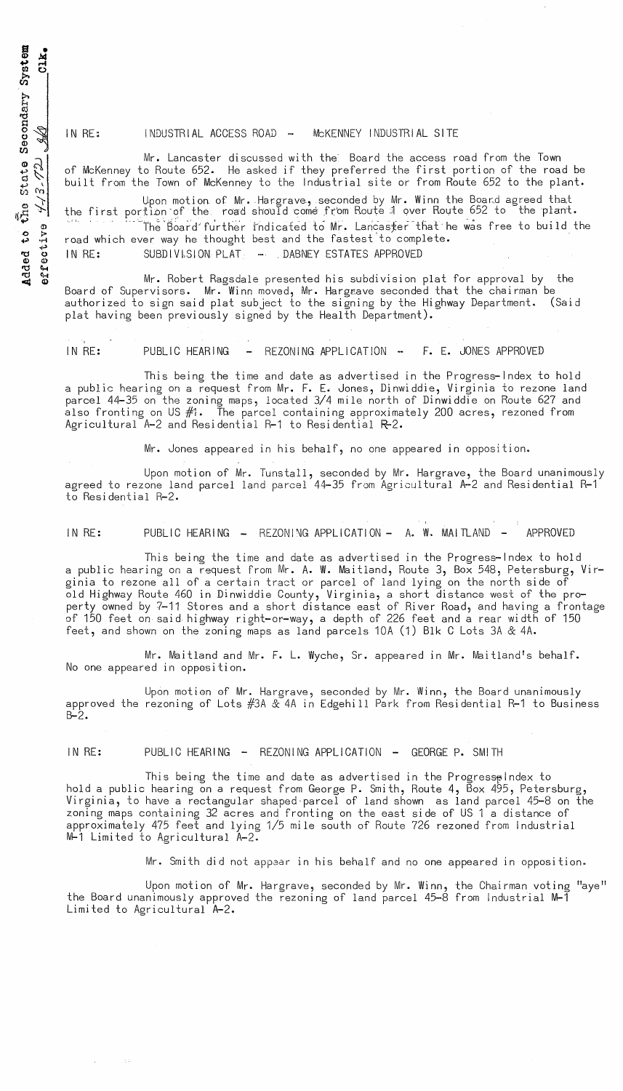s •  $CLK<sub>4</sub>$  $\frac{\text{Syst}}{\text{C1}}$ dary Secor بتو  $\frac{3}{2}$   $\frac{2}{\sqrt{2}}$  $\frac{1}{2}$ dded to<br>ffective

 $\tilde{\mathbf{q}}$   $\tilde{\mathbf{o}}$ 

IN RE: INDUSTRIAL ACCESS ROAD -- MCKENNEY INDUSTRIAL SITE

Mr. Lancaster discussed with the Board the access road from the Town of McKenney to Route 652. He asked if they preferred the first portion of the road be built from the Town of McKenney to the Industrial site or from Route 652 to the plant.

Upon motion of Mr. Hargrave, seconded by Mr. Winn the Board agreed that the first portion of the road should come from Route 1 over Route 652 to the plant.

The Board'further indicated to Mr. Lancaster that he was free to build the road which ever way he thought best and the fastest'to complete . IN RE: SUBDIVISION PLAT + DABNEY ESTATES APPROVED

Mr. Robert Ragsdale presented his subdivision plat for approval by the Board of Supervisors. Mr. Winn moved, Mr. Hargeave seconded that the chairman be authorized to sign said plat subject to the signing by the Highway Department. (Said plat having been previously signed by the Health Department).

IN RE: PUBLIC HEARING - REZONING APPLICATION -- F. E. JONES APPROVED

This being the time and date as advertised in the Progress-Index to hold a public hearing on a request from Mr. F. E. Jones, Dinwiddie, Virginia to rezone land parcel 44-35 on the zoning maps, located 3/4 mile north of Dinwiddie on Route 627 and also fronting on US  $#1$ . The parcel containing approximately 200 acres, rezoned from Agricultural A-2 and Residential R-1 to Residential R-2.

Mr. Jones appeared in his behalf, no one appeared in opposition.

Upon motion of Mr. Tunstall, seconded by Mr. Hargrave, the Board unanimously agreed to rezone land parcel land parcel 44-35 from Agricultural A-2 and Residential R-1 to Residential R-2.

IN RE: PUBLIC HEARING - REZONING APPLICATION - A. W. MAITLAND - APPROVED

This being the time and date as advertised in the Progress-Index to hold a public hearing on a request from Mr. A. W. Maitland, Route 3, Box 548, Petersburg, Virginia to rezone all of a certain tract or parcel of land lying on the north side of old Highway Route 460 in Dinwiddie County, Virginia, a short distance west of the property owned by 7-11 Stores and a short distance east of River Road, and having a frontage of 150 feet on said highway right-or-way, a depth of 226 feet and a rear width of 150  $\,$ feet, and shown on the zoning maps as land parcels 10A (1) Blk CLots 3A & 4A.

Mr. Maitland and Mr. F. L. Wyche, Sr. appeared in Mr. Maitland's behalf. No one appeared in oppesition.

Upon motion of Mr. Hargrave, seconded by Mr. Winn, the Board unanimously approved the rezoning of Lots #3A & 4A in Edgehill Park from Residential R-1 to Business B-2.

IN RE: PUBLIC HEARING - REZONING APPLICATION - GEORGE P. SMITH

This being the time and date as advertised in the Progress $\phi$ Index to hold a public hearing on a request from George P. Smith, Route 4, Box 495, Petersburg, Virginia, to have a rectangular shaped'parcel of land shown as land parcel 45-8 on the zoning maps containing 32 acres and fronting on the east side of US 1 a distance of approximately 475 feet and lying 1/5 mile south of Route 726 rezoned from Industrial M-1 Limi ted to Agricultural A-2.

Mr. Smith did not appaar in his behalf and no one appeared in opposition\_

Upon motion of Mr. Hargrave, seconded by Mr. Winn, the Chairman voting "aye" the Board unanimously approved the rezoning of land parcel 45-8 from Industrial M-1 Limited to Agricultural A-2.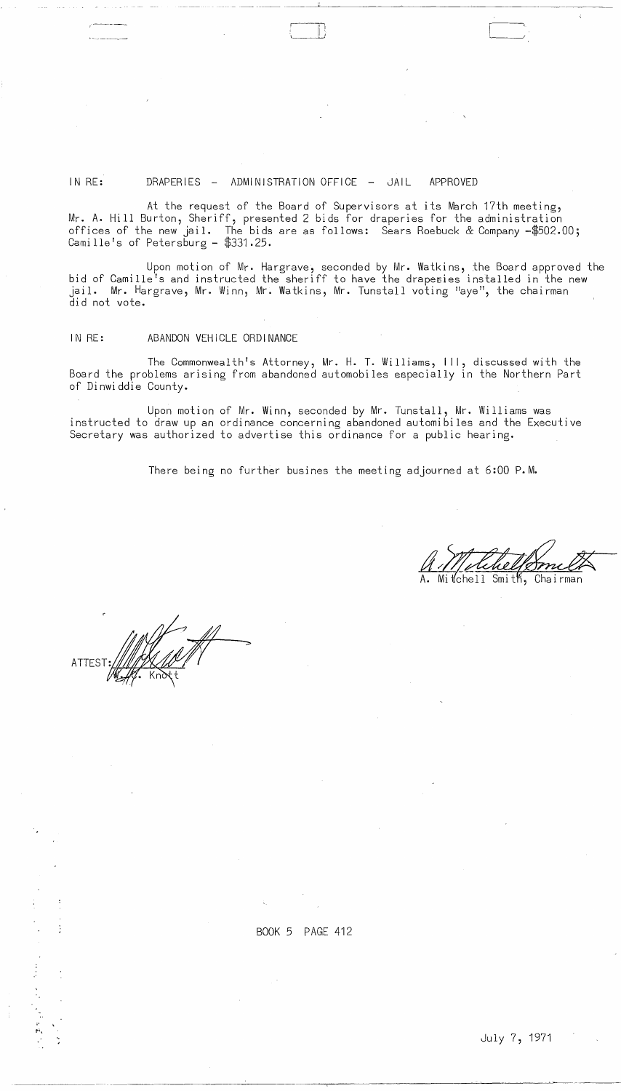# IN RE: DRAPERIES - ADMINISTRATION OFFICE - JAIL APPROVED

At the request of the Board of Supervisors at its March 17th meeting, Mr. A. Hill Burton, Sheriff, presented 2 bids for draperies for the administration offices of the new jail. The bids are as follows:  $\,$  Sears Roebuck & Company -\$502.00;  $\,$ Camillers of Petersburg - \$331.25.

 $\sqcup$ 

- - ---~ .-----~----------------------------

Upon motion of Mr. Hargrave, seconded by Mr. Watkins, the Board approved the bid of Camille's and instructed the sheriff to have the draperies installed in the new jail. Mr. Hargrave, Mr. Winn, Mr. Watkins, Mr. Tunstall voting "aye", the chairman did not vote.

## IN RE: ABANDON VEHICLE ORDINANCE

The Commonwealth's Attorney, Mr. H. T. Williams, Ill, discussed with the Board the problems arising from abandoned automobiles especially in the Northern Part of Dinwiddie County.

Upon motion of Mr. Winn, seconded by Mr. Tunstall, Mr. Williams was instructed to draw up an ordinance concerning abandoned automibiles and the Executive Secretary was authorized to advertise this ordinance for a public hearing.

There being no further busines the meeting adjourned at 6:00 P.M.

Smith, Chairman tchell

ATTES<sup>-</sup>

 $\begin{array}{c} \frac{1}{2} \\ \frac{1}{2} \end{array}$ 

BOOK 5 PAGE 412

 $\sim 10^{12}$